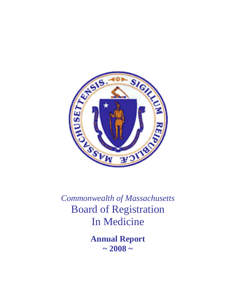

*Commonwealth of Massachusetts*  Board of Registration In Medicine

> **Annual Report**   $\sim 2008 \sim$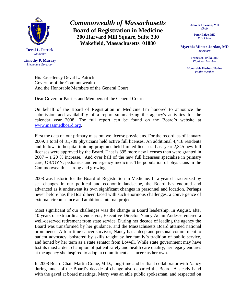

**Timothy P. Murray**  *Lieutenant Governor* 

*Commonwealth of Massachusetts*  **Board of Registration in Medicine 200 Harvard Mill Square, Suite 330 Wakefield, Massachusetts 01880** 

**John B. Herman, MD**  *Chair* 

> **Peter Paige, MD**  *Vice Chair*

**Myechia Minter-Jordan, MD**  *Secretary* 

> **Francisco Trilla, MD**  *Physician Member*

**Honorable Herbert Hodos**  *Public Member* 

His Excellency Deval L. Patrick Governor of the Commonwealth And the Honorable Members of the General Court

Dear Governor Patrick and Members of the General Court:

On behalf of the Board of Registration in Medicine I'm honored to announce the submission and availability of a report summarizing the agency's activities for the calendar year 2008. The full report can be found on the Board's website at [www.massmedboard.org.](http://www.massmedboard.org/)

First the data on our primary mission: we license physicians. For the record, as of January 2009, a total of 31,789 physicians held active full licenses. An additional 4,418 residents and fellows in hospital training programs held limited licenses. Last year 2,345 new full licenses were approved by the Board. That is 395 more new licenses than were granted in 2007 – a 20 % increase. And over half of the new full licensees specialize in primary care, OB/GYN, pediatrics and emergency medicine. The population of physicians in the Commonwealth is strong and growing.

2008 was historic for the Board of Registration in Medicine. In a year characterized by sea changes in our political and economic landscape, the Board has endured and advanced as it underwent its own significant changes in personnel and location. Perhaps never before has the Board been faced with such enormous challenges, a convergence of external circumstance and ambitious internal projects.

Most significant of our challenges was the change in Board leadership. In August, after 10 years of extraordinary endeavor, Executive Director Nancy Achin Audesse entered a well-deserved retirement from state service. During her decade of leading the agency the Board was transformed by her guidance, and the Massachusetts Board attained national prominence. A four-time cancer survivor, Nancy has a deep and personal commitment to patient advocacy, bolstered by skills taught by her family's tradition of public service, and honed by her term as a state senator from Lowell. While state government may have lost its most ardent champion of patient safety and health care quality, her legacy endures at the agency she inspired to adopt a commitment as sincere as her own.

In 2008 Board Chair Martin Crane, M.D., long-time and brilliant collaborator with Nancy during much of the Board's decade of change also departed the Board. A steady hand with the gavel at board meetings, Marty was an able public spokesman, and respected on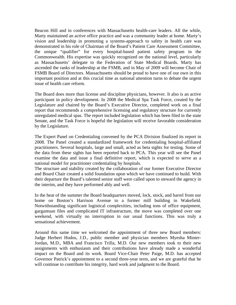Beacon Hill and in conferences with Massachusetts health-care leaders. All the while, Marty maintained an active office practice and was a community leader at home. Marty's vision and leadership in promoting a systems-approach to safety in health care was demonstrated in his role of Chairman of the Board's Patient Care Assessment Committee, the unique "qualifier" for every hospital-based patient safety program in the Commonwealth. His expertise was quickly recognized on the national level, particularly as Massachusetts' delegate to the Federation of State Medical Boards. Marty has ascended the ranks of leadership at the FSMB, and in May of 2009 will become Chair of FSMB Board of Directors. Massachusetts should be proud to have one of our own in this important position and at this crucial time as national attention turns to debate the urgent issue of health care reform.

The Board does more than license and discipline physicians, however. It also is an active participant in policy development. In 2008 the Medical Spa Task Force, created by the Legislature and chaired by the Board's Executive Director, completed work on a final report that recommends a comprehensive licensing and regulatory structure for currently unregulated medical spas. The report included legislation which has been filed in the state Senate, and the Task Force is hopeful the legislation will receive favorable consideration by the Legislature.

The Expert Panel on Credentialing convened by the PCA Division finalized its report in 2008. The Panel created a standardized framework for credentialing hospital-affiliated practitioners. Several hospitals, large and small, acted as beta sights for testing. Some of the data from these sights has been reported back to PCA. This year will see the Panel examine the data and issue a final definitive report, which is expected to serve as a national model for practitioner credentialing by hospitals.

The structure and stability created by the collaboration of our former Executive Director and Board Chair created a solid foundation upon which we have continued to build. With their departure the Board's talented senior staff were called upon to steward the agency in the interim, and they have performed ably and well.

In the heat of the summer the Board headquarters moved, lock, stock, and barrel from our home on Boston's Harrison Avenue to a former mill building in Wakefield. Notwithstanding significant logistical complexities, including tons of office equipment, gargantuan files and complicated IT infrastructure, the move was completed over one weekend, with virtually no interruption in our usual functions. This was truly a sensational achievement.

Around this same time we welcomed the appointment of three new Board members: Judge Herbert Hodos, J.D., public member and physician members Myesha Minter-Jordan, M.D., MBA and Francisco Trilla, M.D. Our new members took to their new assignments with enthusiasm and their contributions have already made a wonderful impact on the Board and its work. Board Vice-Chair Peter Paige, M.D. has accepted Governor Patrick's appointment to a second three-year term, and we are grateful that he will continue to contribute his integrity, hard work and judgment to the Board.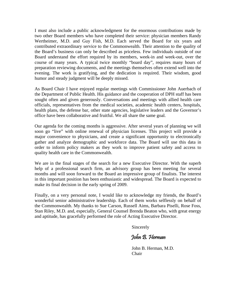I must also include a public acknowledgment for the enormous contributions made by two other Board members who have completed their service: physician members Randy Wertheimer, M.D. and Guy Fish, M.D. Each served the Board for six years and contributed extraordinary service to the Commonwealth. Their attention to the quality of the Board's business can only be described as priceless. Few individuals outside of our Board understand the effort required by its members, week-in and week-out, over the course of many years. A typical twice monthly "board day", requires many hours of preparation reviewing documents, and the meetings themselves often extend well into the evening. The work is gratifying, and the dedication is required. Their wisdom, good humor and steady judgment will be deeply missed.

As Board Chair I have enjoyed regular meetings with Commissioner John Auerbach of the Department of Public Health. His guidance and the cooperation of DPH staff has been sought often and given generously. Conversations and meetings with allied health care officials, representatives from the medical societies, academic health centers, hospitals, health plans, the defense bar, other state agencies, legislative leaders and the Governor's office have been collaborative and fruitful. We all share the same goal.

Our agenda for the coming months is aggressive. After several years of planning we will soon go "live" with online renewal of physician licenses. This project will provide a major convenience to physicians, and create a significant opportunity to electronically gather and analyze demographic and workforce data. The Board will use this data in order to inform policy makers as they work to improve patient safety and access to quality health care in the Commonwealth.

We are in the final stages of the search for a new Executive Director. With the superb help of a professional search firm, an advisory group has been meeting for several months and will soon forward to the Board an impressive group of finalists. The interest in this important position has been enthusiastic and widespread. The Board is expected to make its final decision in the early spring of 2009.

Finally, on a very personal note, I would like to acknowledge my friends, the Board's wonderful senior administrative leadership. Each of them works selflessly on behalf of the Commonwealth. My thanks to Sue Carson, Russell Aims, Barbara Piselli, Rose Foss, Stan Riley, M.D. and, especially, General Counsel Brenda Beaton who, with great energy and aptitude, has gracefully performed the role of Acting Executive Director.

Sincerely

John B. Herman

 John B. Herman, M.D. **Chair**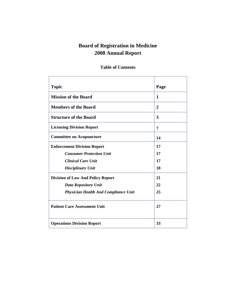# **Board of Registration in Medicine 2008 Annual Report**

## **Topic Page 2018 Mission of the Board 1 1 Members of the Board 2 2 Structure of the Board 3**  3 **Licensing Division Report 7 7 Committee on Acupuncture** 2 **14 Enforcement Division Report**  *Consumer Protection Unit Clinical Care Unit Disciplinary Unit* **17 17 17 18 Division of Law And Policy Report**  *Data Repository Unit Physician Health And Compliance Unit*  **Patient Care Assessment Unit 21 22 25 27 Operations Division Report 33**

### **Table of Contents**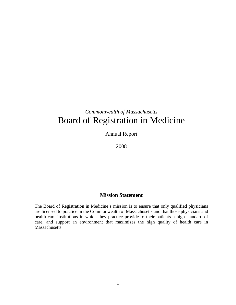# *Commonwealth of Massachusetts*  Board of Registration in Medicine

Annual Report

2008

### **Mission Statement**

The Board of Registration in Medicine's mission is to ensure that only qualified physicians are licensed to practice in the Commonwealth of Massachusetts and that those physicians and health care institutions in which they practice provide to their patients a high standard of care, and support an environment that maximizes the high quality of health care in Massachusetts.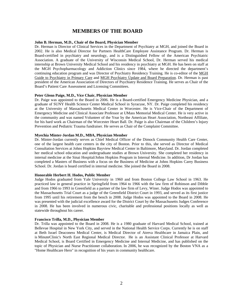### **MEMBERS OF THE BOARD**

#### **John B. Herman, M.D., Chair of the Board, Physician Member**

Dr. Herman is Director of Clinical Services in the Department of Psychiatry at MGH, and joined the Board in 2002. He is also Medical Director for Partners HealthCare Employee Assistance Program. Dr. Herman is Board-certified in psychiatry and neurology, and is a Distinguished Fellow of the American Psychiatric Association. A graduate of the University of Wisconsin Medical School, Dr. Herman served his medical internship at Brown University Medical School and his residency in psychiatry at MGH. He has been on staff at the MGH Psychopharmacology and Addiction Clinics since 1984, where he directed the department's continuing education program and was Director of Psychiatry Residency Training. He is co-editor of the MGH Guide to Psychiatry in Primary Care and MGH Psychiatry Update and Board Preparation. Dr. Herman is past president of the American Association of Directors of Psychiatry Residence Training. He serves as Chair of the Board's Patient Care Assessment and Licensing Committees.

#### **Peter Glenn Paige, M.D., Vice Chair, Physician Member**

Dr. Paige was appointed to the Board in 2006. He is a Board-certified Emergency Medicine Physician, and a graduate of SUNY Health Science Center Medical School in Syracuse, NY. Dr. Paige completed his residency at the University of Massachusetts Medical Center in Worcester. He is Vice-Chair of the Department of Emergency Medicine and Clinical Associate Professor at UMass Memorial Medical Center. He is very active in the community and was named Volunteer of the Year by the American Heart Association, Northeast Affiliate, for his hard work as Chairman of the Worcester Heart Ball. Dr. Paige is also Chairman of the Children's Injury Prevention and Pediatric Trauma fundraiser. He serves as Chair of the Complaint Committee.

#### **Myechia Minter-Jordan M.D., MBA, Physician Member**

Dr. Minter-Jordan currently serves as Chief Medical Officer of the Dimock Community Health Care Center, one of the largest health care centers in the city of Boston. Prior to this, she served as Director of Medical Consultation Services at Johns Hopkins Bayview Medical Center in Baltimore, Maryland. Dr. Jordan completed her medical school education and undergraduate studies at Brown University. She completed her residency in internal medicine at the Sinai Hospital/Johns Hopkins Program in Internal Medicine. In addition, Dr Jordan has completed a Masters of Business with a focus on the Business of Medicine at Johns Hopkins Carey Business School. Dr. Jordan is board certified in internal medicine. She joined the Board in 2008.

#### **Honorable Herbert H. Hodos, Public Member**

Judge Hodos graduated from Yale University in 1960 and from Boston College Law School in 1963. He practiced law in general practice in Springfield from 1964 to 1966 with the law firm of Robinson and Dibble and from 1966 to 1993 in Greenfield as a partner of the law firm of Levy, Winer. Judge Hodos was appointed to the Massachusetts Trial Court as a judge of the Greenfield District Court in 1993, and served as its first justice from 1995 until his retirement from the bench in 2008. Judge Hodos was appointed to the Board in 2008. He was presented with the judicial excellence award for the District Court by the Massachusetts Judges Conference in 2008. He has been involved in numerous civic, charitable and professional positions locally as well as statewide throughout his career.

#### **Francisco Trilla, M.D., Physician Member**

Dr. Trilla was appointed to the Board in 2008. He is a 1980 graduate of Harvard Medical School, trained at Bellevue Hospital in New York City, and served in the National Health Service Corps. Currently he is on staff at Beth Israel Deaconess Medical Center, is Medical Director of Atreva Healthcare in Jamaica Plain, and is MinuteClinic's North East Regional Medical Director. He is an Assistant Clinical Professor at Harvard Medical School, is Board Certified in Emergency Medicine and Internal Medicine, and has published on the topic of Physician and Nurse Practitioner collaboration. In 2006, he was recognized by the Boston VNA as a "Home Healthcare Hero" in recognition of his years in community healthcare.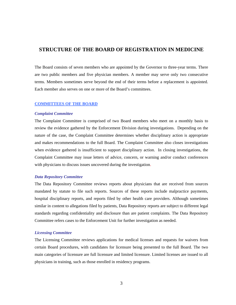### **STRUCTURE OF THE BOARD OF REGISTRATION IN MEDICINE**

The Board consists of seven members who are appointed by the Governor to three-year terms. There are two public members and five physician members. A member may serve only two consecutive terms. Members sometimes serve beyond the end of their terms before a replacement is appointed. Each member also serves on one or more of the Board's committees.

#### **COMMITTEES OF THE BOARD**

#### *Complaint Committee*

The Complaint Committee is comprised of two Board members who meet on a monthly basis to review the evidence gathered by the Enforcement Division during investigations. Depending on the nature of the case, the Complaint Committee determines whether disciplinary action is appropriate and makes recommendations to the full Board. The Complaint Committee also closes investigations when evidence gathered is insufficient to support disciplinary action. In closing investigations, the Complaint Committee may issue letters of advice, concern, or warning and/or conduct conferences with physicians to discuss issues uncovered during the investigation.

#### *Data Repository Committee*

The Data Repository Committee reviews reports about physicians that are received from sources mandated by statute to file such reports. Sources of these reports include malpractice payments, hospital disciplinary reports, and reports filed by other health care providers. Although sometimes similar in content to allegations filed by patients, Data Repository reports are subject to different legal standards regarding confidentiality and disclosure than are patient complaints. The Data Repository Committee refers cases to the Enforcement Unit for further investigation as needed.

#### *Licensing Committee*

The Licensing Committee reviews applications for medical licenses and requests for waivers from certain Board procedures, with candidates for licensure being presented to the full Board. The two main categories of licensure are full licensure and limited licensure. Limited licenses are issued to all physicians in training, such as those enrolled in residency programs.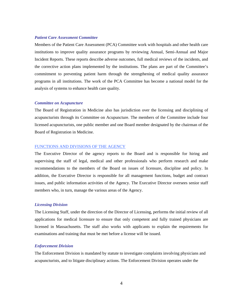#### *Patient Care Assessment Committee*

Members of the Patient Care Assessment (PCA) Committee work with hospitals and other health care institutions to improve quality assurance programs by reviewing Annual, Semi-Annual and Major Incident Reports. These reports describe adverse outcomes, full medical reviews of the incidents, and the corrective action plans implemented by the institutions. The plans are part of the Committee's commitment to preventing patient harm through the strengthening of medical quality assurance programs in all institutions. The work of the PCA Committee has become a national model for the analysis of systems to enhance health care quality.

#### *Committee on Acupuncture*

The Board of Registration in Medicine also has jurisdiction over the licensing and disciplining of acupuncturists through its Committee on Acupuncture. The members of the Committee include four licensed acupuncturists, one public member and one Board member designated by the chairman of the Board of Registration in Medicine.

#### FUNCTIONS AND DIVISIONS OF THE AGENCY

The Executive Director of the agency reports to the Board and is responsible for hiring and supervising the staff of legal, medical and other professionals who perform research and make recommendations to the members of the Board on issues of licensure, discipline and policy. In addition, the Executive Director is responsible for all management functions, budget and contract issues, and public information activities of the Agency. The Executive Director oversees senior staff members who, in turn, manage the various areas of the Agency.

#### *Licensing Division*

The Licensing Staff, under the direction of the Director of Licensing, performs the initial review of all applications for medical licensure to ensure that only competent and fully trained physicians are licensed in Massachusetts. The staff also works with applicants to explain the requirements for examinations and training that must be met before a license will be issued.

#### *Enforcement Division*

The Enforcement Division is mandated by statute to investigate complaints involving physicians and acupuncturists, and to litigate disciplinary actions. The Enforcement Division operates under the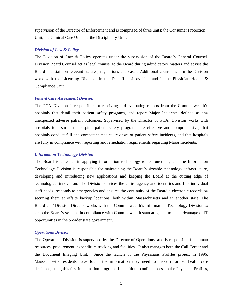supervision of the Director of Enforcement and is comprised of three units: the Consumer Protection Unit, the Clinical Care Unit and the Disciplinary Unit.

#### *Division of Law & Policy*

The Division of Law & Policy operates under the supervision of the Board's General Counsel. Division Board Counsel act as legal counsel to the Board during adjudicatory matters and advise the Board and staff on relevant statutes, regulations and cases. Additional counsel within the Division work with the Licensing Division, in the Data Repository Unit and in the Physician Health & Compliance Unit.

#### *Patient Care Assessment Division*

The PCA Division is responsible for receiving and evaluating reports from the Commonwealth's hospitals that detail their patient safety programs, and report Major Incidents, defined as any unexpected adverse patient outcomes. Supervised by the Director of PCA, Division works with hospitals to assure that hospital patient safety programs are effective and comprehensive, that hospitals conduct full and competent medical reviews of patient safety incidents, and that hospitals are fully in compliance with reporting and remediation requirements regarding Major Incidents.

#### *Information Technology Division*

The Board is a leader in applying information technology to its functions, and the Information Technology Division is responsible for maintaining the Board's sizeable technology infrastructure, developing and introducing new applications and keeping the Board at the cutting edge of technological innovation. The Division services the entire agency and identifies and fills individual staff needs, responds to emergencies and ensures the continuity of the Board's electronic records by securing them at offsite backup locations, both within Massachusetts and in another state. The Board's IT Division Director works with the Commonwealth's Information Technology Division to keep the Board's systems in compliance with Commonwealth standards, and to take advantage of IT opportunities in the broader state government.

#### *Operations Division*

The Operations Division is supervised by the Director of Operations, and is responsible for human resources, procurement, expenditure tracking and facilities. It also manages both the Call Center and the Document Imaging Unit. Since the launch of the Physicians Profiles project in 1996, Massachusetts residents have found the information they need to make informed health care decisions, using this first in the nation program. In addition to online access to the Physician Profiles,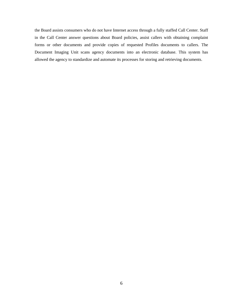the Board assists consumers who do not have Internet access through a fully staffed Call Center. Staff in the Call Center answer questions about Board policies, assist callers with obtaining complaint forms or other documents and provide copies of requested Profiles documents to callers. The Document Imaging Unit scans agency documents into an electronic database. This system has allowed the agency to standardize and automate its processes for storing and retrieving documents.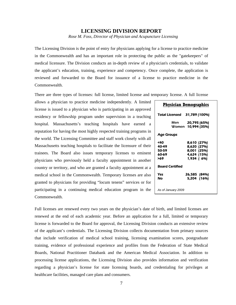### **LICENSING DIVISION REPORT**

*Rose M. Foss, Director of Physician and Acupuncture Licensing* 

The Licensing Division is the point of entry for physicians applying for a license to practice medicine in the Commonwealth and has an important role in protecting the public as the "gatekeepers" of medical licensure. The Division conducts an in-depth review of a physician's credentials, to validate the applicant's education, training, experience and competency. Once complete, the application is reviewed and forwarded to the Board for issuance of a license to practice medicine in the Commonwealth.

There are three types of licenses: full license, limited license and temporary license. A full license

allows a physician to practice medicine independently. A limited license is issued to a physician who is participating in an approved residency or fellowship program under supervision in a teaching hospital. Massachusetts's teaching hospitals have earned a reputation for having the most highly respected training programs in the world. The Licensing Committee and staff work closely with all Massachusetts teaching hospitals to facilitate the licensure of their trainees. The Board also issues temporary licenses to eminent physicians who previously held a faculty appointment in another country or territory, and who are granted a faculty appointment at a medical school in the Commonwealth. Temporary licenses are also granted to physicians for providing "locum tenens" services or for participating in a continuing medical education program in the Commonwealth.

| <b>Physician Demographics</b>         |                                                                        |  |  |  |  |
|---------------------------------------|------------------------------------------------------------------------|--|--|--|--|
|                                       | Total Licensed 31,789 (100%)                                           |  |  |  |  |
|                                       | Men <b>20,795 (65%)</b><br>Women 10,994 (35%)                          |  |  |  |  |
| Age Groups                            |                                                                        |  |  |  |  |
| <40<br>40-49<br>50-59<br>60-69<br>>69 | 8,610 (27%)<br>8,620 (27%)<br>8,001 (25%)<br>4,624 (15%)<br>1,934 (6%) |  |  |  |  |
| <b>Board Certified</b>                |                                                                        |  |  |  |  |
| Yes<br>No                             | 26,585 (84%)<br>5,204 (16%)                                            |  |  |  |  |
| As of January 2009                    |                                                                        |  |  |  |  |

Full licenses are renewed every two years on the physician's date of birth, and limited licenses are renewed at the end of each academic year. Before an application for a full, limited or temporary license is forwarded to the Board for approval, the Licensing Division conducts an extensive review of the applicant's credentials. The Licensing Division collects documentation from primary sources that include verification of medical school training, licensing examination scores, postgraduate training, evidence of professional experience and profiles from the Federation of State Medical Boards, National Practitioner Databank and the American Medical Association. In addition to processing license applications, the Licensing Division also provides information and verification regarding a physician's license for state licensing boards, and credentialing for privileges at healthcare facilities, managed care plans and consumers.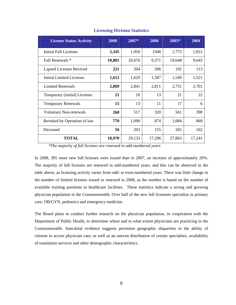| <b>License Status Activity</b> | 2008   | $2007*$ | 2006   | $2005*$ | 2004   |
|--------------------------------|--------|---------|--------|---------|--------|
| <b>Initial Full Licenses</b>   | 2,345  | 1,950   | 1948   | 1,775   | 1,812  |
| Full Renewals *                | 10,801 | 20,676  | 9,371  | 19,648  | 9,645  |
| Lapsed Licenses Revived        | 221    | 204     | 206    | 192     | 113    |
| Initial Limited Licenses       | 1,612  | 1,629   | 1,587  | 1,549   | 1,521  |
| <b>Limited Renewals</b>        | 2,869  | 2,841   | 2,811  | 2,751   | 2,701  |
| Temporary (initial) Licenses   | 21     | 10      | 13     | 21      | 22     |
| <b>Temporary Renewals</b>      | 15     | 13      | 11     | 17      | 6      |
| <b>Voluntary Non-renewals</b>  | 260    | 517     | 320    | 561     | 390    |
| Revoked by Operation of law    | 770    | 1,090   | 874    | 1,084   | 869    |
| Deceased                       | 56     | 203     | 155    | 265     | 162    |
| TOTAL                          | 18,970 | 29,133  | 17,296 | 27,863  | 17,241 |

### **Licensing Division Statistics**

 *\*The majority of full licenses are renewed in odd-numbered years* 

In 2008, 395 more new full licenses were issued than in 2007, an increase of approximately 20%. The majority of full licenses are renewed in odd-numbered years, and this can be observed in the table above, as licensing activity varies from odd- to even-numbered years. There was little change in the number of limited licenses issued or renewed in 2008, as the number is based on the number of available training positions in healthcare facilities. These statistics indicate a strong and growing physician population in the Commonwealth. Over half of the new full licensees specialize in primary care, OB/GYN, pediatrics and emergency medicine.

The Board plans to conduct further research on the physician population, in cooperation with the Department of Public Health, to determine where and to what extent physicians are practicing in the Commonwealth. Anecdotal evidence suggests persistent geographic disparities in the ability of citizens to access physician care, as well as an uneven distribution of certain specialties, availability of translation services and other demographic characteristics.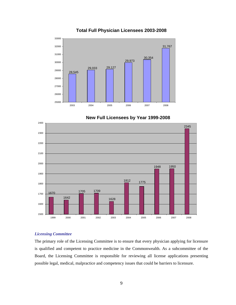

### **Total Full Physician Licensees 2003-2008**





#### *Licensing Committee*

The primary role of the Licensing Committee is to ensure that every physician applying for licensure is qualified and competent to practice medicine in the Commonwealth. As a subcommittee of the Board, the Licensing Committee is responsible for reviewing all license applications presenting possible legal, medical, malpractice and competency issues that could be barriers to licensure.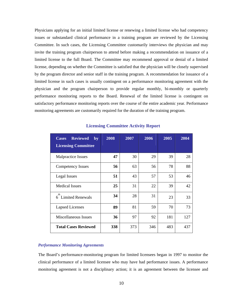Physicians applying for an initial limited license or renewing a limited license who had competency issues or substandard clinical performance in a training program are reviewed by the Licensing Committee. In such cases, the Licensing Committee customarily interviews the physician and may invite the training program chairperson to attend before making a recommendation on issuance of a limited license to the full Board. The Committee may recommend approval or denial of a limited license, depending on whether the Committee is satisfied that the physician will be closely supervised by the program director and senior staff in the training program. A recommendation for issuance of a limited license in such cases is usually contingent on a performance monitoring agreement with the physician and the program chairperson to provide regular monthly, bi-monthly or quarterly performance monitoring reports to the Board. Renewal of the limited license is contingent on satisfactory performance monitoring reports over the course of the entire academic year. Performance monitoring agreements are customarily required for the duration of the training program.

| <b>Reviewed</b><br><b>Cases</b><br>$\mathbf{by}$<br><b>Licensing Committee</b> | 2008 | 2007 | 2006 | 2005 | 2004 |
|--------------------------------------------------------------------------------|------|------|------|------|------|
| <b>Malpractice Issues</b>                                                      | 47   | 30   | 29   | 39   | 28   |
| Competency Issues                                                              | 56   | 63   | 56   | 78   | 88   |
| Legal Issues                                                                   | 51   | 43   | 57   | 53   | 46   |
| <b>Medical Issues</b>                                                          | 25   | 31   | 22   | 39   | 42   |
| th<br>6 Limited Renewals                                                       | 34   | 28   | 31   | 23   | 33   |
| <b>Lapsed Licenses</b>                                                         | 89   | 81   | 59   | 70   | 73   |
| Miscellaneous Issues                                                           | 36   | 97   | 92   | 181  | 127  |
| <b>Total Cases Reviewed</b>                                                    | 338  | 373  | 346  | 483  | 437  |

#### **Licensing Committee Activity Report**

#### *Performance Monitoring Agreements*

The Board's performance-monitoring program for limited licensees began in 1997 to monitor the clinical performance of a limited licensee who may have had performance issues. A performance monitoring agreement is not a disciplinary action; it is an agreement between the licensee and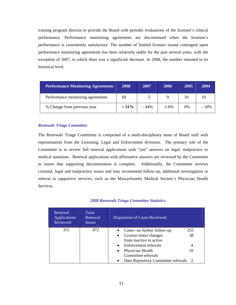training program director to provide the Board with periodic evaluations of the licensee's clinical performance. Performance monitoring agreements are discontinued when the licensee's performance is consistently satisfactory. The number of limited licenses issued contingent upon performance monitoring agreements has been relatively stable for the past several years, with the exception of 2007, in which there was a significant decrease. In 2008, the number returned to its historical level.

| <b>Performance Monitoring Agreements</b> | 2008   | 2007   | 2006     | 2005 | 2004    |
|------------------------------------------|--------|--------|----------|------|---------|
| Performance monitoring agreements        |        |        |          | 10   | 10      |
| % Change from previous year              | $+51%$ | $-44%$ | $-1.0\%$ | 0%   | $-10\%$ |

#### *Renewals Triage Committee*

The Renewals Triage Committee is comprised of a multi-disciplinary team of Board staff with representation from the Licensing, Legal and Enforcement divisions. The primary role of the Committee is to review full renewal applications with "yes" answers on legal, malpractice or medical questions. Renewal applications with affirmative answers are reviewed by the Committee to insure that supporting documentation is complete. Additionally, the Committee reviews criminal, legal and malpractice issues and may recommend follow-up, additional investigation or referral to supportive services, such as the Massachusetts Medical Society's Physician Health Services.

| Renewal<br><b>Applications</b><br>Reviewed | Total<br>Renewal<br><i>Issues</i> | Disposition of Cases Reviewed                                                                 |           |
|--------------------------------------------|-----------------------------------|-----------------------------------------------------------------------------------------------|-----------|
| 315                                        | 472                               | Cases--no further follow-up<br>License status changes<br>$\bullet$<br>from inactive to active | 255<br>38 |
|                                            |                                   | Enforcement referrals<br>$\bullet$                                                            | 4         |
|                                            |                                   | Physician Health<br>$\bullet$                                                                 | 10        |
|                                            |                                   | Committee referrals                                                                           |           |
|                                            |                                   | Data Repository Committee referrals                                                           |           |

#### *2008 Renewals Triage Committee Statistics*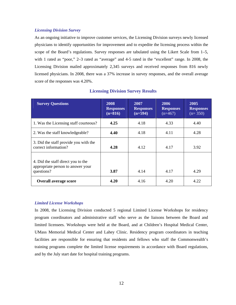#### *Licensing Division Survey*

As an ongoing initiative to improve customer services, the Licensing Division surveys newly licensed physicians to identify opportunities for improvement and to expedite the licensing process within the scope of the Board's regulations. Survey responses are tabulated using the Likert Scale from 1–5, with 1 rated as "poor," 2–3 rated as "average" and 4-5 rated in the "excellent" range. In 2008, the Licensing Division mailed approximately 2,345 surveys and received responses from 816 newly licensed physicians. In 2008, there was a 37% increase in survey responses, and the overall average score of the responses was 4.20%.

| <b>Survey Questions</b>                                                               | 2008<br><b>Responses</b><br>$(n=816)$ | 2007<br><b>Responses</b><br>$(n=594)$ | 2006<br><b>Responses</b><br>$(n=467)$ | 2005<br><b>Responses</b><br>$(n=350)$ |
|---------------------------------------------------------------------------------------|---------------------------------------|---------------------------------------|---------------------------------------|---------------------------------------|
| 1. Was the Licensing staff courteous?                                                 | 4.25                                  | 4.18                                  | 4.33                                  | 4.40                                  |
| 2. Was the staff knowledgeable?                                                       | 4.40                                  | 4.18                                  | 4.11                                  | 4.28                                  |
| 3. Did the staff provide you with the<br>correct information?                         | 4.28                                  | 4.12                                  | 4.17                                  | 3.92                                  |
| 4. Did the staff direct you to the<br>appropriate person to answer your<br>questions? | 3.87                                  | 4.14                                  | 4.17                                  | 4.29                                  |
| <b>Overall average score</b>                                                          | 4.20                                  | 4.16                                  | 4.20                                  | 4.22                                  |

### **Licensing Division Survey Results**

#### *Limited License Workshops*

In 2008, the Licensing Division conducted 5 regional Limited License Workshops for residency program coordinators and administrative staff who serve as the liaisons between the Board and limited licensees. Workshops were held at the Board, and at Children's Hospital Medical Center, UMass Memorial Medical Center and Lahey Clinic. Residency program coordinators in teaching facilities are responsible for ensuring that residents and fellows who staff the Commonwealth's training programs complete the limited license requirements in accordance with Board regulations, and by the July start date for hospital training programs.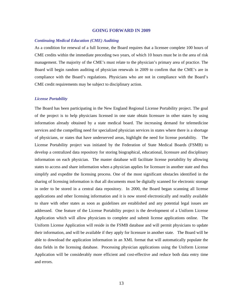#### **GOING FORWARD IN 2009**

#### *Continuing Medical Education (CME) Auditing*

As a condition for renewal of a full license, the Board requires that a licensee complete 100 hours of CME credits within the immediate preceding two years, of which 10 hours must be in the area of risk management. The majority of the CME's must relate to the physician's primary area of practice. The Board will begin random auditing of physician renewals in 2009 to confirm that the CME's are in compliance with the Board's regulations. Physicians who are not in compliance with the Board's CME credit requirements may be subject to disciplinary action.

#### *License Portability*

The Board has been participating in the New England Regional License Portability project. The goal of the project is to help physicians licensed in one state obtain licensure in other states by using information already obtained by a state medical board. The increasing demand for telemedicine services and the compelling need for specialized physician services in states where there is a shortage of physicians, or states that have underserved areas, highlight the need for license portability. The License Portability project was initiated by the Federation of State Medical Boards (FSMB) to develop a centralized data repository for storing biographical, educational, licensure and disciplinary information on each physician. The master database will facilitate license portability by allowing states to access and share information when a physician applies for licensure in another state and thus simplify and expedite the licensing process. One of the most significant obstacles identified in the sharing of licensing information is that all documents must be digitally scanned for electronic storage in order to be stored in a central data repository. In 2000, the Board began scanning all license applications and other licensing information and it is now stored electronically and readily available to share with other states as soon as guidelines are established and any potential legal issues are addressed. One feature of the License Portability project is the development of a Uniform License Application which will allow physicians to complete and submit license applications online. The Uniform License Application will reside in the FSMB database and will permit physicians to update their information, and will be available if they apply for licensure in another state. The Board will be able to download the application information in an XML format that will automatically populate the data fields in the licensing database. Processing physician applications using the Uniform License Application will be considerably more efficient and cost-effective and reduce both data entry time and errors.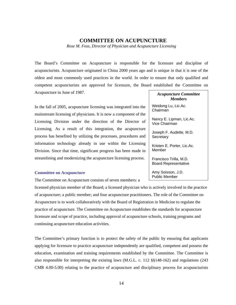### **COMMITTEE ON ACUPUNCTURE**

*Rose M. Foss, Director of Physician and Acupuncture Licensing* 

The Board's Committee on Acupuncture is responsible for the licensure and discipline of acupuncturists. Acupuncture originated in China 2000 years ago and is unique in that it is one of the oldest and most commonly used practices in the world. In order to ensure that only qualified and competent acupuncturists are approved for licensure, the Board established the Committee on Acupuncture in June of 1987.

In the fall of 2005, acupuncture licensing was integrated into the mainstream licensing of physicians. It is now a component of the Licensing Division under the direction of the Director of Licensing. As a result of this integration, the acupuncture process has benefited by utilizing the processes, procedures and information technology already in use within the Licensing Division. Since that time, significant progress has been made in streamlining and modernizing the acupuncture licensing process.

#### **Committee on Acupuncture**

The Committee on Acupuncture consists of seven members: a

licensed physician member of the Board; a licensed physician who is actively involved in the practice of acupuncture; a public member; and four acupuncture practitioners. The role of the Committee on Acupuncture is to work collaboratively with the Board of Registration in Medicine to regulate the practice of acupuncture. The Committee on Acupuncture establishes the standards for acupuncture licensure and scope of practice, including approval of acupuncture schools, training programs and continuing acupuncture education activities.

The Committee's primary function is to protect the safety of the public by ensuring that applicants applying for licensure to practice acupuncture independently are qualified, competent and possess the education, examination and training requirements established by the Committee. The Committee is also responsible for interpreting the existing laws (M.G.L. c. 112 §§148-162) and regulations (243 CMR 4.00-5.00) relating to the practice of acupuncture and disciplinary process for acupuncturists

*Acupuncture Committee Members* 

Weidong Lu, Lic.Ac. Chairman

Nancy E. Lipman, Lic.Ac. Vice Chairman

Joseph F. Audette, M.D. **Secretary** 

Kristen E. Porter, Lic.Ac. Member

Francisco Trilla, M.D. Board Representative

Amy Soisson, J.D. Public Member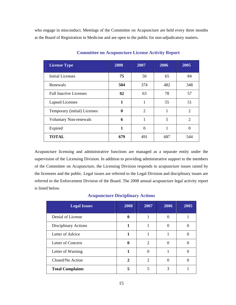who engage in misconduct. Meetings of the Committee on Acupuncture are held every three months at the Board of Registration in Medicine and are open to the public for non-adjudicatory matters.

| <b>License Type</b>           | 2008 | 2007           | 2006 | 2005           |
|-------------------------------|------|----------------|------|----------------|
| <b>Initial Licenses</b>       | 75   | 50             | 65   | 84             |
| Renewals                      | 504  | 374            | 482  | 348            |
| <b>Full Inactive Licenses</b> | 92   | 63             | 78   | 57             |
| <b>Lapsed Licenses</b>        | 1    | 1              | 55   | 51             |
| Temporary (initial) Licenses  | 0    | $\overline{2}$ | 1    | $\overline{2}$ |
| <b>Voluntary Non-renewals</b> | 6    | 1              | 5    | $\overline{2}$ |
| Expired                       | 1    | $\theta$       | 1    | $\theta$       |
| <b>TOTAL</b>                  | 679  | 491            | 687  | 544            |

### **Committee on Acupuncture License Activity Report**

Acupuncture licensing and administrative functions are managed as a separate entity under the supervision of the Licensing Division. In addition to providing administrative support to the members of the Committee on Acupuncture, the Licensing Division responds to acupuncture issues raised by the licensees and the public. Legal issues are referred to the Legal Division and disciplinary issues are referred to the Enforcement Division of the Board. The 2008 annual acupuncture legal activity report is listed below.

### **Acupuncture Disciplinary Actions**

| <b>Legal Issues</b>     | 2008 | 2007                        | 2006 | 2005 |
|-------------------------|------|-----------------------------|------|------|
| Denial of License       | 0    |                             |      |      |
| Disciplinary Actions    | 1    |                             |      |      |
| Letter of Advice        | 1    |                             |      |      |
| Letter of Concern       |      | 2                           |      |      |
| Letter of Warning       |      |                             |      |      |
| Closed/No Action        | 2    | $\mathcal{D}_{\mathcal{L}}$ |      |      |
| <b>Total Complaints</b> |      |                             |      |      |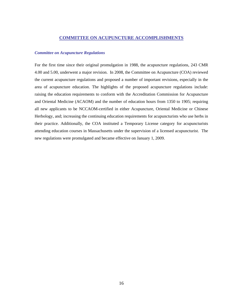### **COMMITTEE ON ACUPUNCTURE ACCOMPLISHMENTS**

#### *Committee on Acupuncture Regulations*

For the first time since their original promulgation in 1988, the acupuncture regulations, 243 CMR 4.00 and 5.00, underwent a major revision. In 2008, the Committee on Acupuncture (COA) reviewed the current acupuncture regulations and proposed a number of important revisions, especially in the area of acupuncture education. The highlights of the proposed acupuncture regulations include: raising the education requirements to conform with the Accreditation Commission for Acupuncture and Oriental Medicine (ACAOM) and the number of education hours from 1350 to 1905; requiring all new applicants to be NCCAOM-certified in either Acupuncture, Oriental Medicine or Chinese Herbology, and; increasing the continuing education requirements for acupuncturists who use herbs in their practice. Additionally, the COA instituted a Temporary License category for acupuncturists attending education courses in Massachusetts under the supervision of a licensed acupuncturist. The new regulations were promulgated and became effective on January 1, 2009.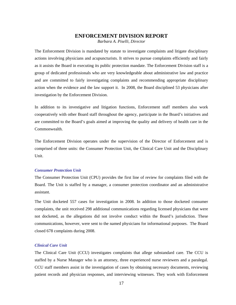#### **ENFORCEMENT DIVISION REPORT**

*Barbara A. Piselli, Director* 

The Enforcement Division is mandated by statute to investigate complaints and litigate disciplinary actions involving physicians and acupuncturists. It strives to pursue complaints efficiently and fairly as it assists the Board in executing its public protection mandate. The Enforcement Division staff is a group of dedicated professionals who are very knowledgeable about administrative law and practice and are committed to fairly investigating complaints and recommending appropriate disciplinary action when the evidence and the law support it. In 2008, the Board disciplined 53 physicians after investigation by the Enforcement Division.

In addition to its investigative and litigation functions, Enforcement staff members also work cooperatively with other Board staff throughout the agency, participate in the Board's initiatives and are committed to the Board's goals aimed at improving the quality and delivery of health care in the Commonwealth.

The Enforcement Division operates under the supervision of the Director of Enforcement and is comprised of three units: the Consumer Protection Unit, the Clinical Care Unit and the Disciplinary Unit.

#### *Consumer Protection Unit*

The Consumer Protection Unit (CPU) provides the first line of review for complaints filed with the Board. The Unit is staffed by a manager, a consumer protection coordinator and an administrative assistant.

The Unit docketed 557 cases for investigation in 2008. In addition to those docketed consumer complaints, the unit received 298 additional communications regarding licensed physicians that were not docketed, as the allegations did not involve conduct within the Board's jurisdiction. These communications, however, were sent to the named physicians for informational purposes. The Board closed 678 complaints during 2008.

### *Clinical Care Unit*

The Clinical Care Unit (CCU) investigates complaints that allege substandard care. The CCU is staffed by a Nurse Manager who is an attorney, three experienced nurse reviewers and a paralegal. CCU staff members assist in the investigation of cases by obtaining necessary documents, reviewing patient records and physician responses, and interviewing witnesses. They work with Enforcement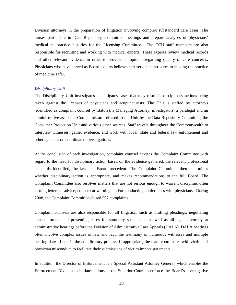Division attorneys in the preparation of litigation involving complex substandard care cases. The nurses participate in Data Repository Committee meetings and prepare analyses of physicians' medical malpractice histories for the Licensing Committee. The CCU staff members are also responsible for recruiting and working with medical experts. These experts review medical records and other relevant evidence in order to provide an opinion regarding quality of care concerns. Physicians who have served as Board experts believe their service contributes to making the practice of medicine safer.

#### *Disciplinary Unit*

The Disciplinary Unit investigates and litigates cases that may result in disciplinary actions being taken against the licenses of physicians and acupuncturists. The Unit is staffed by attorneys (identified as complaint counsel by statute), a Managing Attorney, investigators, a paralegal and an administrative assistant. Complaints are referred to the Unit by the Data Repository Committee, the Consumer Protection Unit and various other sources. Staff travels throughout the Commonwealth to interview witnesses, gather evidence, and work with local, state and federal law enforcement and other agencies on coordinated investigations.

At the conclusion of each investigation, complaint counsel advises the Complaint Committee with regard to the need for disciplinary action based on the evidence gathered, the relevant professional standards identified, the law and Board precedent. The Complaint Committee then determines whether disciplinary action is appropriate, and makes recommendations to the full Board. The Complaint Committee also resolves matters that are not serious enough to warrant discipline, often issuing letters of advice, concern or warning, and/or conducting conferences with physicians. During 2008, the Complaint Committee closed 597 complaints.

Complaint counsels are also responsible for all litigation, such as drafting pleadings, negotiating consent orders and presenting cases for summary suspension, as well as all legal advocacy at administrative hearings before the Division of Administrative Law Appeals (DALA). DALA hearings often involve complex issues of law and fact, the testimony of numerous witnesses and multiple hearing dates. Later in the adjudicatory process, if appropriate, the team coordinates with victims of physician misconduct to facilitate their submissions of victim impact statements.

In addition, the Director of Enforcement is a Special Assistant Attorney General, which enables the Enforcement Division to initiate actions in the Superior Court to enforce the Board's investigative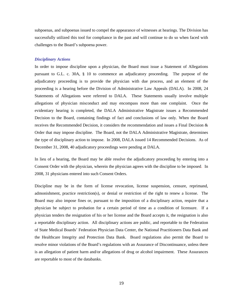subpoenas, and subpoenas issued to compel the appearance of witnesses at hearings. The Division has successfully utilized this tool for compliance in the past and will continue to do so when faced with challenges to the Board's subpoena power.

#### *Disciplinary Actions*

In order to impose discipline upon a physician, the Board must issue a Statement of Allegations pursuant to G.L. c. 30A, § 10 to commence an adjudicatory proceeding. The purpose of the adjudicatory proceeding is to provide the physician with due process, and an element of the proceeding is a hearing before the Division of Administrative Law Appeals (DALA). In 2008, 24 Statements of Allegations were referred to DALA. These Statements usually involve multiple allegations of physician misconduct and may encompass more than one complaint. Once the evidentiary hearing is completed, the DALA Administrative Magistrate issues a Recommended Decision to the Board, containing findings of fact and conclusions of law only. When the Board receives the Recommended Decision, it considers the recommendation and issues a Final Decision & Order that may impose discipline. The Board, not the DALA Administrative Magistrate, determines the type of disciplinary action to impose. In 2008, DALA issued 14 Recommended Decisions. As of December 31, 2008, 40 adjudicatory proceedings were pending at DALA.

In lieu of a hearing, the Board may be able resolve the adjudicatory proceeding by entering into a Consent Order with the physician, wherein the physician agrees with the discipline to be imposed. In 2008, 31 physicians entered into such Consent Orders.

Discipline may be in the form of license revocation, license suspension, censure, reprimand, admonishment, practice restriction(s), or denial or restriction of the right to renew a license. The Board may also impose fines or, pursuant to the imposition of a disciplinary action, require that a physician be subject to probation for a certain period of time as a condition of licensure. If a physician tenders the resignation of his or her license and the Board accepts it, the resignation is also a reportable disciplinary action. All disciplinary actions are public, and reportable to the Federation of State Medical Boards' Federation Physician Data Center, the National Practitioners Data Bank and the Healthcare Integrity and Protection Data Bank. Board regulations also permit the Board to resolve minor violations of the Board's regulations with an Assurance of Discontinuance, unless there is an allegation of patient harm and/or allegations of drug or alcohol impairment. These Assurances are reportable to most of the databanks.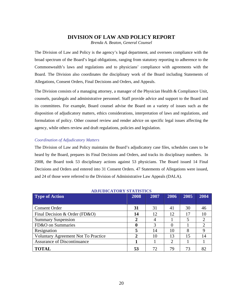### **DIVISION OF LAW AND POLICY REPORT**

*Brenda A. Beaton, General Counsel* 

The Division of Law and Policy is the agency's legal department, and oversees compliance with the broad spectrum of the Board's legal obligations, ranging from statutory reporting to adherence to the Commonwealth's laws and regulations and to physicians' compliance with agreements with the Board. The Division also coordinates the disciplinary work of the Board including Statements of Allegations, Consent Orders, Final Decisions and Orders, and Appeals.

The Division consists of a managing attorney, a manager of the Physician Health & Compliance Unit, counsels, paralegals and administrative personnel. Staff provide advice and support to the Board and its committees. For example, Board counsel advise the Board on a variety of issues such as the disposition of adjudicatory matters, ethics considerations, interpretation of laws and regulations, and formulation of policy. Other counsel review and render advice on specific legal issues affecting the agency, while others review and draft regulations, policies and legislation.

#### *Coordination of Adjudicatory Matters*

The Division of Law and Policy maintains the Board's adjudicatory case files, schedules cases to be heard by the Board, prepares its Final Decisions and Orders, and tracks its disciplinary numbers. In 2008, the Board took 53 disciplinary actions against 53 physicians. The Board issued 14 Final Decisions and Orders and entered into 31 Consent Orders. 47 Statements of Allegations were issued, and 24 of those were referred to the Division of Administrative Law Appeals (DALA).

| <b>Type of Action</b>                      |    | 2007 | 2006 | 2005 | 2004                   |
|--------------------------------------------|----|------|------|------|------------------------|
|                                            |    |      |      |      |                        |
| <b>Consent Order</b>                       | 31 | 31   | 41   | 30   | 46                     |
| Final Decision & Order (FD&O)              | 14 | 12   | 12   | 17   | 10                     |
| <b>Summary Suspension</b>                  | 2  |      |      | 5    | 2                      |
| FD&O on Summaries                          |    | 3    | 0    |      | $\mathfrak{D}_{\cdot}$ |
| Resignation                                |    | 14   | 10   | 8    |                        |
| <b>Voluntary Agreement Not To Practice</b> | 2  | 10   | 13   | 15   | 14                     |
| <b>Assurance of Discontinuance</b>         |    |      | 2    |      |                        |
| <b>TOTAL</b>                               | 53 | 72   | 79   | 73   |                        |

### **ADJUDICATORY STATISTICS**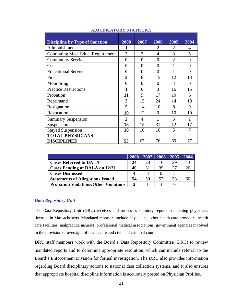| <b>Discipline by Type of Sanction</b> | 2008           | 2007           | 2006           | 2005           | 2004           |
|---------------------------------------|----------------|----------------|----------------|----------------|----------------|
| Admonishment                          | 1              | 1              | 2              | 2              | 4              |
| Continuing Med. Educ. Requirement     | $\overline{2}$ | $\overline{2}$ | 4              | 3              | 5              |
| <b>Community Service</b>              | $\bf{0}$       | $\overline{0}$ | $\overline{0}$ | $\overline{2}$ | $\theta$       |
| Costs                                 | $\bf{0}$       | $\theta$       | 0              |                | $\Omega$       |
| <b>Educational Service</b>            | $\bf{0}$       | $\theta$       | $\theta$       |                | $\Omega$       |
| Fine                                  | 3              | 8              | 15             | 12             | 13             |
| Monitoring                            | $\bf{0}$       | 0              | $\Omega$       | $\overline{4}$ | $\overline{0}$ |
| <b>Practice Restrictions</b>          | 1              | 0              | 3              | 16             | 15             |
| Probation                             | 11             | 9              | 17             | 10             | 6              |
| Reprimand                             | 3              | 15             | 24             | 14             | 18             |
| Resignation                           | 5              | 14             | 10             | 8              | 9              |
| Revocation                            | 10             | 12             | 9              | 10             | 10             |
| <b>Summary Suspension</b>             | $\overline{2}$ | 4              |                | 5              | $\overline{2}$ |
| Suspension                            | 18             | 15             | 31             | 12             | 17             |
| <b>Stayed Suspension</b>              | 10             | 10             | 16             | 5              |                |
| <b>TOTAL PHYSICIANS</b>               |                |                |                |                |                |
| <b>DISCIPLINED</b>                    | 53             | 67             | 76             | 69             | 77             |

#### **ADJUDICATORY STATISTICS**

|                                              | 2008                  | 12007 | 2006              | 2005 | 2004 |
|----------------------------------------------|-----------------------|-------|-------------------|------|------|
| <b>Cases Referred to DALA</b>                | 24                    | 28    | 16                | 29   |      |
| <b>Cases Pending at DALA on 12/31</b>        | 40                    | 31    | 39                | 27   |      |
| <b>Cases Dismissed</b>                       |                       | 2     |                   |      |      |
| <b>Statements of Allegations Issued</b>      | 54                    | 59    | 57                | 58   |      |
| <b>Probation Violations/Other Violations</b> | $\mathcal{D}_{\cdot}$ |       | $\mathbf{\Omega}$ |      |      |

### *Data Repository Unit*

The Data Repository Unit (DRU) receives and processes statutory reports concerning physicians licensed in Massachusetts. Mandated reporters include physicians, other health care providers, health care facilities, malpractice insurers, professional medical associations, government agencies involved in the provision or oversight of health care and civil and criminal courts.

DRU staff members work with the Board's Data Repository Committee (DRC) to review mandated reports and to determine appropriate resolution, which can include referral to the Board's Enforcement Division for formal investigation. The DRU also provides information regarding Board disciplinary actions to national data collection systems, and it also ensures that appropriate hospital discipline information is accurately posted on Physician Profiles.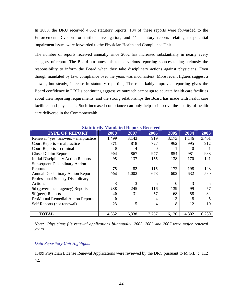In 2008, the DRU received 4,652 statutory reports. 184 of these reports were forwarded to the Enforcement Division for further investigation, and 11 statutory reports relating to potential impairment issues were forwarded to the Physician Health and Compliance Unit.

The number of reports received annually since 2002 has increased substantially in nearly every category of report. The Board attributes this to the various reporting sources taking seriously the responsibility to inform the Board when they take disciplinary actions against physicians. Even though mandated by law, compliance over the years was inconsistent. More recent figures suggest a slower, but steady, increase in statutory reporting. The remarkably improved reporting gives the Board confidence in DRU's continuing aggressive outreach campaign to educate health care facilities about their reporting requirements, and the strong relationships the Board has made with health care facilities and physicians. Such increased compliance can only help to improve the quality of health care delivered in the Commonwealth.

| Statutorily Mandated Reports Received      |       |       |          |          |          |       |  |  |
|--------------------------------------------|-------|-------|----------|----------|----------|-------|--|--|
| <b>TYPE OF REPORT</b>                      | 2008  | 2007  | 2006     | 2005     | 2004     | 2003  |  |  |
| Renewal "yes" answers – malpractice        | 1,499 | 3,143 | 919      | 3,173    | 1,146    | 3,401 |  |  |
| Court Reports – malpractice                | 871   | 818   | 727      | 962      | 995      | 912   |  |  |
| Court Reports – criminal                   | 0     | 4     | $\Omega$ |          | $\Omega$ |       |  |  |
| <b>Closed Claim Reports</b>                | 904   | 867   | 977      | 854      | 981      | 988   |  |  |
| <b>Initial Disciplinary Action Reports</b> | 95    | 137   | 155      | 138      | 170      | 141   |  |  |
| <b>Subsequent Disciplinary Action</b>      |       |       |          |          |          |       |  |  |
| Reports                                    | 75    | 82    | 115      | 172      | 198      | 148   |  |  |
| <b>Annual Disciplinary Action Reports</b>  | 904   | 1,002 | 678      | 602      | 632      | 580   |  |  |
| Professional Society Disciplinary          |       |       |          |          |          |       |  |  |
| Actions                                    | 3     | 3     | 5        | $\theta$ | 3        | 5     |  |  |
| 5d (government agency) Reports             | 238   | 245   | 116      | 139      | 99       | 57    |  |  |
| 5f (peer) Reports                          | 40    | 31    | 57       | 68       | 58       | 32    |  |  |
| <b>ProMutual Remedial Action Reports</b>   | 0     |       | 4        | 3        | 8        | 5     |  |  |
| Self Reports (not renewal)                 | 23    | 5     | 4        | 8        | 12       | 10    |  |  |
|                                            |       |       |          |          |          |       |  |  |
| <b>TOTAL</b>                               | 4,652 | 6,338 | 3,757    | 6,120    | 4,302    | 6,280 |  |  |

**Statutorily Mandated Reports Received** 

*Note: Physicians file renewal applications bi-annually. 2003, 2005 and 2007 were major renewal years.* 

### *Data Repository Unit Highlights*

1,499 Physician License Renewal Applications were reviewed by the DRC pursuant to M.G.L. c. 112 §2.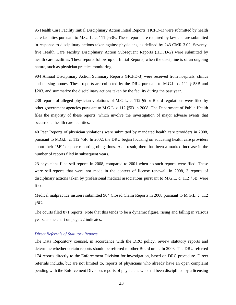95 Health Care Facility Initial Disciplinary Action Initial Reports (HCFD-1) were submitted by health care facilities pursuant to M.G. L. c. 111 §53B. These reports are required by law and are submitted in response to disciplinary actions taken against physicians, as defined by 243 CMR 3.02. Seventyfive Health Care Facility Disciplinary Action Subsequent Reports (HDFD-2) were submitted by health care facilities. These reports follow up on Initial Reports, when the discipline is of an ongoing nature, such as physician practice monitoring.

904 Annual Disciplinary Action Summary Reports (HCFD-3) were received from hospitals, clinics and nursing homes. These reports are collected by the DRU pursuant to M.G.L. c. 111 § 53B and §203, and summarize the disciplinary actions taken by the facility during the past year.

238 reports of alleged physician violations of M.G.L. c. 112 §5 or Board regulations were filed by other government agencies pursuant to M.G.L. c.112 §5D in 2008. The Department of Public Health files the majority of these reports, which involve the investigation of major adverse events that occurred at health care facilities.

40 Peer Reports of physician violations were submitted by mandated health care providers in 2008, pursuant to M.G.L. c. 112 §5F. In 2002, the DRU began focusing on educating health care providers about their "5F'' or peer reporting obligations. As a result, there has been a marked increase in the number of reports filed in subsequent years.

23 physicians filed self-reports in 2008, compared to 2001 when no such reports were filed. These were self-reports that were not made in the context of license renewal. In 2008, 3 reports of disciplinary actions taken by professional medical associations pursuant to M.G.L. c. 112 §5B, were filed.

Medical malpractice insurers submitted 904 Closed Claim Reports in 2008 pursuant to M.G.L. c. 112 §5C.

The courts filed 871 reports. Note that this tends to be a dynamic figure, rising and falling in various years, as the chart on page 22 indicates.

#### *Direct Referrals of Statutory Reports*

The Data Repository counsel, in accordance with the DRC policy, review statutory reports and determine whether certain reports should be referred to other Board units. In 2008, The DRU referred 174 reports directly to the Enforcement Division for investigation, based on DRC procedure. Direct referrals include, but are not limited to, reports of physicians who already have an open complaint pending with the Enforcement Division, reports of physicians who had been disciplined by a licensing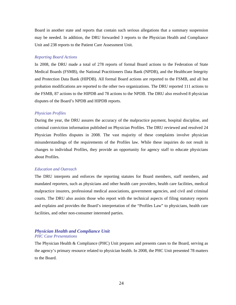Board in another state and reports that contain such serious allegations that a summary suspension may be needed. In addition, the DRU forwarded 3 reports to the Physician Health and Compliance Unit and 238 reports to the Patient Care Assessment Unit.

#### *Reporting Board Actions*

In 2008, the DRU made a total of 278 reports of formal Board actions to the Federation of State Medical Boards (FSMB), the National Practitioners Data Bank (NPDB), and the Healthcare Integrity and Protection Data Bank (HIPDB). All formal Board actions are reported to the FSMB, and all but probation modifications are reported to the other two organizations. The DRU reported 111 actions to the FSMB, 87 actions to the HIPDB and 78 actions to the NPDB. The DRU also resolved 8 physician disputes of the Board's NPDB and HIPDB reports.

#### *Physician Profiles*

During the year, the DRU assures the accuracy of the malpractice payment, hospital discipline, and criminal conviction information published on Physician Profiles. The DRU reviewed and resolved 24 Physician Profiles disputes in 2008. The vast majority of these complaints involve physician misunderstandings of the requirements of the Profiles law. While these inquiries do not result in changes to individual Profiles, they provide an opportunity for agency staff to educate physicians about Profiles.

#### *Education and Outreach*

The DRU interprets and enforces the reporting statutes for Board members, staff members, and mandated reporters, such as physicians and other health care providers, health care facilities, medical malpractice insurers, professional medical associations, government agencies, and civil and criminal courts. The DRU also assists those who report with the technical aspects of filing statutory reports and explains and provides the Board's interpretation of the "Profiles Law" to physicians, health care facilities, and other non-consumer interested parties.

### *Physician Health and Compliance Unit PHC Case Presentations*

The Physician Health & Compliance (PHC) Unit prepares and presents cases to the Board, serving as the agency's primary resource related to physician health. In 2008, the PHC Unit presented 78 matters to the Board.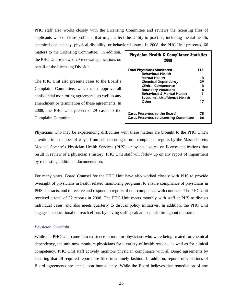PHC staff also works closely with the Licensing Committee and reviews the licensing files of applicants who disclose problems that might affect the ability to practice, including mental health, chemical dependency, physical disability, or behavioral issues. In 2008, the PHC Unit presented 66

matters to the Licensing Committee. In addition, the PHC Unit reviewed 20 renewal applications on behalf of the Licensing Division.

The PHC Unit also presents cases to the Board's Complaint Committee, which must approve all confidential monitoring agreements, as well as any amendment or termination of these agreements. In 2008, the PHC Unit presented 29 cases to the Complaint Committee.

| <b>Physician Health &amp; Compliance Statistics</b><br>2008 |     |  |  |  |  |
|-------------------------------------------------------------|-----|--|--|--|--|
| <b>Total Physicians Monitored</b>                           | 116 |  |  |  |  |
| <b>Behavioral Health</b>                                    | 11  |  |  |  |  |
| <b>Mental Health</b>                                        | 13  |  |  |  |  |
| <b>Chemical Dependency</b>                                  | 29  |  |  |  |  |
| <b>Clinical Competence</b>                                  | 13  |  |  |  |  |
| <b>Boundary Violations</b>                                  | 16  |  |  |  |  |
| <b>Behavioral &amp; Mental Health</b>                       | 6   |  |  |  |  |
| <b>Substance Use/Mental Health</b>                          | 11  |  |  |  |  |
| Other                                                       | 17  |  |  |  |  |
| <b>Cases Presented to the Board</b><br>78                   |     |  |  |  |  |
| <b>Cases Presented to Licensing Committee</b>               | 66  |  |  |  |  |

Physicians who may be experiencing difficulties with these matters are brought to the PHC Unit's attention in a number of ways, from self-reporting to non-compliance reports by the Massachusetts Medical Society's Physician Health Services (PHS), or by disclosures on license applications that result in review of a physician's history. PHC Unit staff will follow up on any report of impairment by requesting additional documentation.

For many years, Board Counsel for the PHC Unit have also worked closely with PHS to provide oversight of physicians in health related monitoring programs, to ensure compliance of physicians in PHS contracts, and to receive and respond to reports of non-compliance with contracts. The PHC Unit received a total of 52 reports in 2008. The PHC Unit meets monthly with staff at PHS to discuss individual cases, and also meets quarterly to discuss policy initiatives. In addition, the PHC Unit engages in educational outreach efforts by having staff speak at hospitals throughout the state.

### *Physician Oversight*

While the PHC Unit came into existence to monitor physicians who were being treated for chemical dependency, the unit now monitors physicians for a variety of health reasons, as well as for clinical competency. PHC Unit staff actively monitors physician compliance with all Board agreements by ensuring that all required reports are filed in a timely fashion. In addition, reports of violations of Board agreements are acted upon immediately. While the Board believes that remediation of any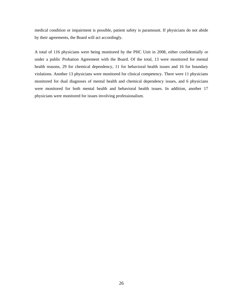medical condition or impairment is possible, patient safety is paramount. If physicians do not abide by their agreements, the Board will act accordingly.

A total of 116 physicians were being monitored by the PHC Unit in 2008, either confidentially or under a public Probation Agreement with the Board. Of the total, 13 were monitored for mental health reasons, 29 for chemical dependency, 11 for behavioral health issues and 16 for boundary violations. Another 13 physicians were monitored for clinical competency. There were 11 physicians monitored for dual diagnoses of mental health and chemical dependency issues, and 6 physicians were monitored for both mental health and behavioral health issues. In addition, another 17 physicians were monitored for issues involving professionalism.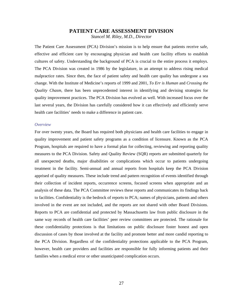### **PATIENT CARE ASSESSMENT DIVISION**  *Stancel M. Riley, M.D., Director*

The Patient Care Assessment (PCA) Division's mission is to help ensure that patients receive safe, effective and efficient care by encouraging physician and health care facility efforts to establish cultures of safety. Understanding the background of PCA is crucial to the entire process it employs. The PCA Division was created in 1986 by the legislature, in an attempt to address rising medical malpractice rates. Since then, the face of patient safety and health care quality has undergone a sea change. With the Institute of Medicine's reports of 1999 and 2001, *To Err is Human* and *Crossing the Quality Chasm,* there has been unprecedented interest in identifying and devising strategies for quality improvement practices. The PCA Division has evolved as well. With increased focus over the last several years, the Division has carefully considered how it can effectively and efficiently serve health care facilities' needs to make a difference in patient care.

#### *Overview*

For over twenty years, the Board has required both physicians and health care facilities to engage in quality improvement and patient safety programs as a condition of licensure. Known as the PCA Program, hospitals are required to have a formal plan for collecting, reviewing and reporting quality measures to the PCA Division. Safety and Quality Review (SQR) reports are submitted quarterly for all unexpected deaths, major disabilities or complications which occur to patients undergoing treatment in the facility. Semi-annual and annual reports from hospitals keep the PCA Division apprised of quality measures. These include trend and pattern recognition of events identified through their collection of incident reports, occurrence screens, focused screens when appropriate and an analysis of these data. The PCA Committee reviews these reports and communicates its findings back to facilities. Confidentiality is the bedrock of reports to PCA; names of physicians, patients and others involved in the event are not included, and the reports are not shared with other Board Divisions. Reports to PCA are confidential and protected by Massachusetts law from public disclosure in the same way records of health care facilities' peer review committees are protected. The rationale for these confidentiality protections is that limitations on public disclosure foster honest and open discussion of cases by those involved at the facility and promote better and more candid reporting to the PCA Division. Regardless of the confidentiality protections applicable to the PCA Program, however, health care providers and facilities are responsible for fully informing patients and their families when a medical error or other unanticipated complication occurs.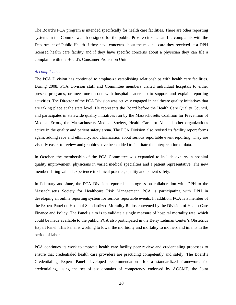The Board's PCA program is intended specifically for health care facilities. There are other reporting systems in the Commonwealth designed for the public. Private citizens can file complaints with the Department of Public Health if they have concerns about the medical care they received at a DPH licensed health care facility and if they have specific concerns about a physician they can file a complaint with the Board's Consumer Protection Unit.

#### *Accomplishments*

The PCA Division has continued to emphasize establishing relationships with health care facilities. During 2008, PCA Division staff and Committee members visited individual hospitals to either present programs, or meet one-on-one with hospital leadership to support and explain reporting activities. The Director of the PCA Division was actively engaged in healthcare quality initiatives that are taking place at the state level. He represents the Board before the Health Care Quality Council, and participates in statewide quality initiatives run by the Massachusetts Coalition for Prevention of Medical Errors, the Massachusetts Medical Society, Health Care for All and other organizations active in the quality and patient safety arena. The PCA Division also revised its facility report forms again, adding race and ethnicity, and clarification about serious reportable event reporting. They are visually easier to review and graphics have been added to facilitate the interpretation of data.

In October, the membership of the PCA Committee was expanded to include experts in hospital quality improvement, physicians in varied medical specialties and a patient representative. The new members bring valued experience in clinical practice, quality and patient safety.

In February and June, the PCA Division reported its progress on collaboration with DPH to the Massachusetts Society for Healthcare Risk Management. PCA is participating with DPH in developing an online reporting system for serious reportable events. In addition, PCA is a member of the Expert Panel on Hospital Standardized Mortality Ratios convened by the Division of Health Care Finance and Policy. The Panel's aim is to validate a single measure of hospital mortality rate, which could be made available to the public. PCA also participated in the Betsy Lehman Center's Obstetrics Expert Panel. This Panel is working to lower the morbidity and mortality to mothers and infants in the period of labor.

PCA continues its work to improve health care facility peer review and credentialing processes to ensure that credentialed health care providers are practicing competently and safely. The Board's Credentialing Expert Panel developed recommendations for a standardized framework for credentialing, using the set of six domains of competency endorsed by ACGME, the Joint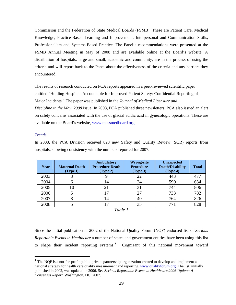Commission and the Federation of State Medical Boards (FSMB). These are Patient Care, Medical Knowledge, Practice-Based Learning and Improvement, Interpersonal and Communication Skills, Professionalism and Systems-Based Practice. The Panel's recommendations were presented at the FSMB Annual Meeting in May of 2008 and are available online at the Board's website. A distribution of hospitals, large and small, academic and community, are in the process of using the criteria and will report back to the Panel about the effectiveness of the criteria and any barriers they encountered.

The results of research conducted on PCA reports appeared in a peer-reviewed scientific paper entitled "Holding Hospitals Accountable for Improved Patient Safety: Confidential Reporting of Major Incidents." The paper was published in the *Journal of Medical Licensure and Discipline in the May, 2008* issue. In 2008, PCA published three newsletters. PCA also issued an alert on safety concerns associated with the use of glacial acidic acid in gynecologic operations. These are available on the Board's website, [www.massmedboard.org](http://www.massmedboard.org/).

#### *Trends*

 $\overline{a}$ 

In 2008, the PCA Division received 828 new Safety and Quality Review (SQR) reports from hospitals, showing consistency with the numbers reported for 2007.

| Year | <b>Maternal Death</b><br>(Type I) | <b>Ambulatory</b><br><b>Procedure Death</b><br>(Type 2) | <b>Wrong-site</b><br><b>Procedure</b><br>(Type 3) | <b>Unexpected</b><br><b>Death/Disability</b><br>(Type 4) | <b>Total</b> |
|------|-----------------------------------|---------------------------------------------------------|---------------------------------------------------|----------------------------------------------------------|--------------|
| 2003 |                                   |                                                         | 22                                                | 443                                                      |              |
| 2004 |                                   | 14                                                      | 24                                                | 590                                                      | 634          |
| 2005 | I ()                              |                                                         |                                                   | 744                                                      | 806          |
| 2006 |                                   |                                                         |                                                   | 733                                                      | 782          |
| 2007 |                                   | 14                                                      | 40                                                | 764                                                      | 826          |
| 2008 |                                   |                                                         |                                                   | 771                                                      | 828          |

### *Table 1*

Since the initial publication in 2002 of the National Quality Forum (NQF) endorsed list of *Serious Reportable Events in Healthcare* a number of states and government entities have been using this list to shape their incident reporting systems.<sup>[1](#page-33-0)</sup> Cognizant of this national movement toward

<span id="page-33-0"></span> $1$  The NOF is a not-for-profit public-private partnership organization created to develop and implement a national strategy for health care quality measurement and reporting. www.qualityforum.org. The list, initially published in 2002, was updated in 2006. See *Serious Reportable Events in Healthcare 2006 Update: A Consensus Report*. Washington, DC. 2007.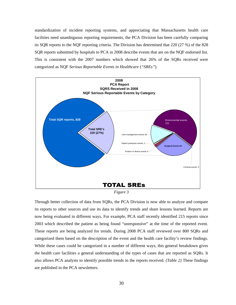standardization of incident reporting systems, and appreciating that Massachusetts health care facilities need unambiguous reporting requirements, the PCA Division has been carefully comparing its SQR reports to the NQF reporting criteria. The Division has determined that 220 (27 %) of the 828 SQR reports submitted by hospitals to PCA in 2008 describe events that are on the NQF endorsed list. This is consistent with the 2007 numbers which showed that 26% of the SQRs received were categorized as NQF *Serious Reportable Events in Healthcare* (*"SREs"*).



*Figure 3* 

Through better collection of data from SQRs, the PCA Division is now able to analyze and compare its reports to other sources and use its data to identify trends and share lessons learned. Reports are now being evaluated in different ways. For example, PCA staff recently identified 215 reports since 2003 which described the patient as being found "unresponsive" at the time of the reported event. These reports are being analyzed for trends. During 2008 PCA staff reviewed over 800 SQRs and categorized them based on the description of the event and the health care facility's review findings. While these cases could be categorized in a number of different ways, this general breakdown gives the health care facilities a general understanding of the types of cases that are reported as SQRs. It also allows PCA analysts to identify possible trends in the reports received. *(Table 2)* These findings are published in the PCA newsletters.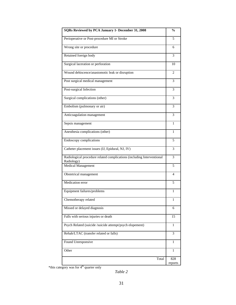| SQRs Reviewed by PCA January 1- December 31, 2008                                    | $\mathbf{0}_{\mathbf{0}}^{\prime}$ |
|--------------------------------------------------------------------------------------|------------------------------------|
| Perioperative or Post-procedure MI or Stroke                                         | 5                                  |
| Wrong site or procedure                                                              | 6                                  |
| Retained foreign body                                                                | 3                                  |
| Surgical laceration or perforation                                                   | 10                                 |
| Wound dehiscence/anastomotic leak or disruption                                      | 2                                  |
| Post surgical medical management                                                     | 3                                  |
| Post-surgical Infection                                                              | 3                                  |
| Surgical complications (other)                                                       | 3                                  |
| Embolism (pulmonary or air)                                                          | 3                                  |
| Anticoagulation management                                                           | 3                                  |
| Sepsis management                                                                    | 1                                  |
| Anesthesia complications (other)                                                     | 1                                  |
| Endoscopy complications                                                              | 5                                  |
| Catheter placement issues (IJ, Epidural, NJ, IV)                                     | 3                                  |
| Radiological procedure related complications (including Interventional<br>Radiology) | 3                                  |
| <b>Medical Management</b>                                                            | 5                                  |
| Obstetrical management                                                               | 4                                  |
| Medication error                                                                     | 5                                  |
| Equipment failures/problems                                                          | 1                                  |
| Chemotherapy related                                                                 | 1                                  |
| Missed or delayed diagnosis                                                          | 6                                  |
| Falls with serious injuries or death                                                 | 15                                 |
| Psych Related (suicide /suicide attempt/psych elopement)                             | 1                                  |
| Rehab/LTAC (transfer related or falls)                                               | 3                                  |
| Found Unresponsive                                                                   | 1                                  |
| Other                                                                                | 1                                  |
| Total                                                                                | 828<br>reports                     |

\*this category was for 4<sup>th</sup> quarter only

*Table 2*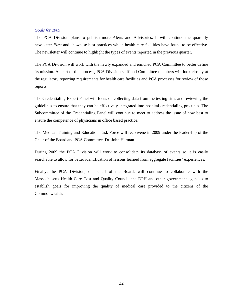#### *Goals for 2009*

The PCA Division plans to publish more Alerts and Advisories. It will continue the quarterly newsletter *First* and showcase best practices which health care facilities have found to be effective. The newsletter will continue to highlight the types of events reported in the previous quarter.

The PCA Division will work with the newly expanded and enriched PCA Committee to better define its mission. As part of this process, PCA Division staff and Committee members will look closely at the regulatory reporting requirements for health care facilities and PCA processes for review of those reports.

The Credentialing Expert Panel will focus on collecting data from the testing sites and reviewing the guidelines to ensure that they can be effectively integrated into hospital credentialing practices. The Subcommittee of the Credentialing Panel will continue to meet to address the issue of how best to ensure the competence of physicians in office based practice.

The Medical Training and Education Task Force will reconvene in 2009 under the leadership of the Chair of the Board and PCA Committee, Dr. John Herman.

During 2009 the PCA Division will work to consolidate its database of events so it is easily searchable to allow for better identification of lessons learned from aggregate facilities' experiences.

Finally, the PCA Division, on behalf of the Board, will continue to collaborate with the Massachusetts Health Care Cost and Quality Council, the DPH and other government agencies to establish goals for improving the quality of medical care provided to the citizens of the Commonwealth.